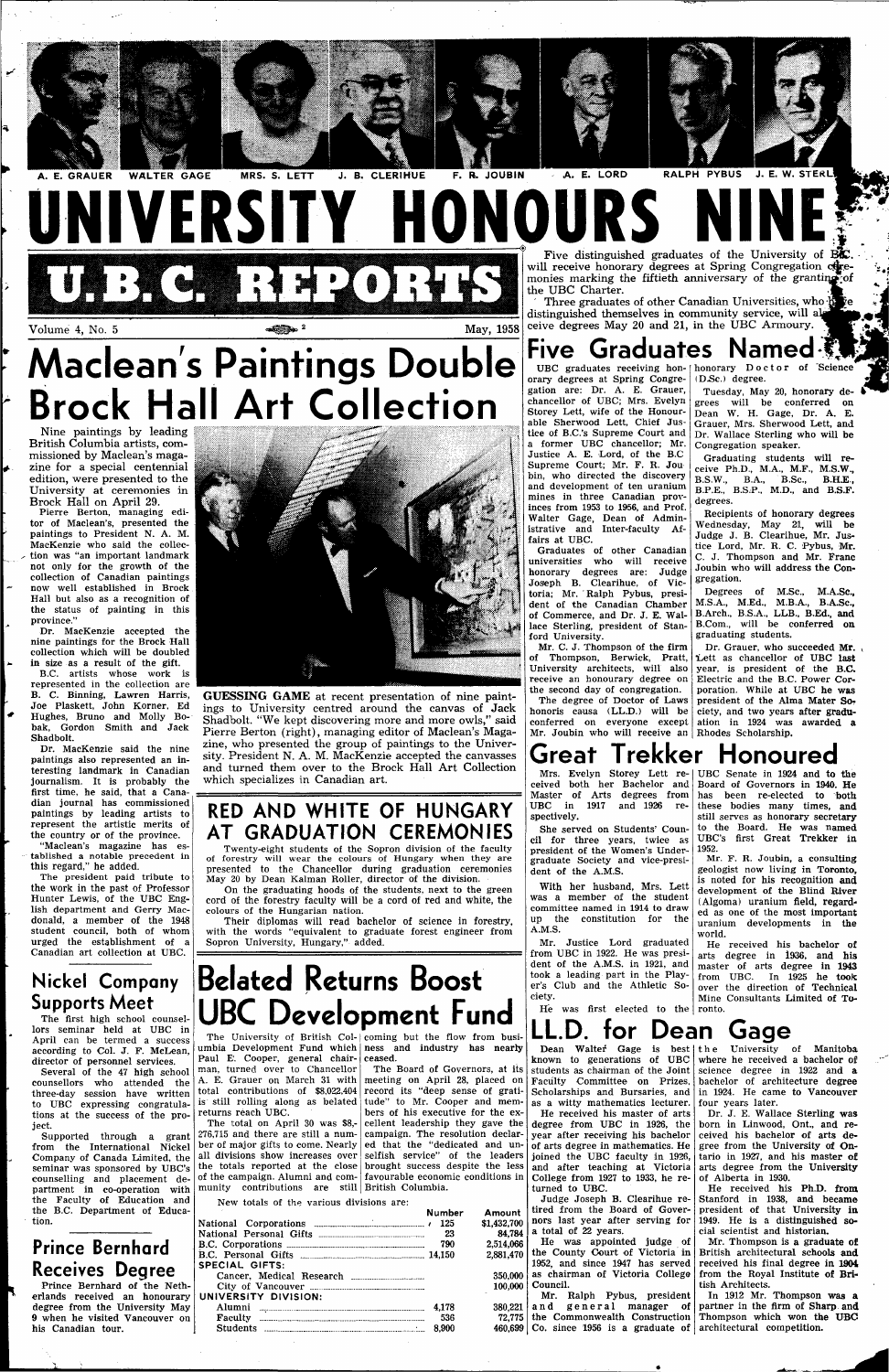

#### **UNIVERSITY HONOURS** U**P : 4 C C C C + 2 C + 2 O : 4 K S** Five distinguished graduates of the University of I will receive honorary degrees at Spring Congregation coremonies marking the fiftieth anniversary of the granting of the UBC Charter. distinguished themselves in community service, will al

 $\bullet$  Volume 4, No. 5  $\bullet$  May, 1958

Nine paintings by leading British Columbia artists, commissioned by Maclean's maga zine for a special centennial edition, were presented to the University at ceremonies in Brock Hall on April 29.

Pierre Berton, managing editor of Maclean's, presented the paintings to President N. A. M. MacKenzie who said the collection was "an important landmark not only for the growth of the collection of Canadian paintings now well established in Brock Hall but also as a recognition of the status of painting in this province."

Dr. MacKenzie accepted the nine paintings for the Brock Hall collection which will be doubled in size as a result of the gift.

## **Maclean's Paintings Double Brock Hall Art Collection ".'-•"\*•"'.**

B.C. artists whose work is represented in the collection are B. C. Binning, Lawren Harris, Joe Plaskett, John Korner, Ed Hughes, Bruno and Molly Bobak, Gordon Smith and Jack Shadbolt.

Dr. MacKenzie said the nine paintings also represented an interesting landmark in Canadian journalism. It is probably the first time, he said, that a Canadian journal has commissioned paintings by leading artists to represent the artistic merits of the country or of the province. "Maclean's magazine has es-

tablished a notable precedent in this regard," he added.

The president paid tribute to the work in the past of Professor Hunter Lewis, of the UBC English department and Gerry Macdonald, a member of the 1948 student council, both of whom urged the establishment of a Canadian art collection at UBC.

### **Nickel Company Supports Meet**

lors seminar held at UBC in



### Five Graduates Named



Three graduates of other Canadian Universities, who his re-

ceive degrees May 20 and 21, in the UBC Armoury.

UBC graduates receiving hon- (honorary Doctor of Science (D.Sc.) degree.

**GUESSING GAME** at recent presentation of nine paintings to University centred around the canvas of Jack Shadbolt. "We kept discovering more and more owls," said Pierre Berton (right), managing editor of Maclean's Magazine, who presented the group of paintings to the University. President N. A. M. MacKenzie accepted the canvasses and turned them over to the Brock Hall Art Collection which specializes in Canadian art.

Tuesday, May 20, honorary degrees will be conferred on Dean W. H. Gage, Dr. A. E. Grauer, Mrs. Sherwood Lett, and Dr. Wallace Sterling who will be Congregation speaker.

#### **RED AND WHITE OF HUNGARY AT GRADUATION CEREMONIES**

Twenty-eight students of the Sopron division of the faculty of forestry will wear the colours of Hungary when they are presented to the Chancellor during graduation ceremonies May 20 by Dean Kalman Roller, director of the division.

Dr. Grauer, who succeeded Mr. TLett as chancellor of UBC **last**  year, is president of the B.C. Electric and the B.C. Power Corporation. While at UBC he was president of the Alma Mater Society, and two years after graduation in 1924 was awarded a

On the graduating hoods of the students, next to the green cord of the forestry faculty will be a cord of red and white, the colours of the Hungarian nation.

Their diplomas will read bachelor of science in forestry, with the words "equivalent to graduate forest engineer from Sopron University, Hungary," added.

orary degrees at Spring Congregation are: Dr. A. E. Grauer, chancellor of UBC; Mrs. Evelyn Storey Lett, wife of the Honourable Sherwood Lett, Chief Justice of B.C.'s Supreme Court and a former UBC chancellor; Mr. Justice A. E. Lord, of the B.C Supreme Court; Mr. F. R. Jou bin, who directed the discovery and development of ten uranium mines in three Canadian provinces from 1953 to 1956, and Prof. Walter Gage, Dean of Administrative and Inter-faculty Affairs at UBC.

Graduates of other Canadian universities who will receive honorary degrees are: Judge Joseph B. Clearihue, of Victoria; Mr. Ralph Pybus, president of the Canadian Chamber of Commerce, and Dr. J. E. Wallace Sterling, president of Stanford University.

Mr. C. J. Thompson of the firm of Thompson, Berwick, Pratt, University architects, will also receive an honourary degree on the second day of congregation.

| April can be termed a success    |                                                                     | The University of British Col- coming but the flow from busi-      | <b>LL.D. IVI DEAII VAYE</b>                                               |                                                                 |
|----------------------------------|---------------------------------------------------------------------|--------------------------------------------------------------------|---------------------------------------------------------------------------|-----------------------------------------------------------------|
| according to Col. J. F. McLean.  |                                                                     | umbia Development Fund which ness and industry has nearly          |                                                                           | Dean Walter Gage is best   the University of Manitoba           |
| director of personnel services.  | Paul E. Cooper, general chair-leeased.                              |                                                                    | known to generations of UBC where he received a bachelor of               |                                                                 |
| Several of the 47 high school    | man, turned over to Chancellor The Board of Governors, at its       |                                                                    | students as chairman of the Joint science degree in $1922$ and a          |                                                                 |
| counsellors who attended the     | A. E. Grauer on March 31 with meeting on April 28, placed on        |                                                                    | Faculty Committee on Prizes, bachelor of architecture degree              |                                                                 |
| three-day session have written   | total contributions of \$8,022,404 record its "deep sense of grati- |                                                                    | Scholarships and Bursaries, and in 1924. He came to Vancouver             |                                                                 |
| to UBC expressing congratula-    | is still rolling along as belated tude" to Mr. Cooper and mem-      |                                                                    | as a witty mathematics lecturer. four years later.                        |                                                                 |
| tions at the success of the pro- | returns reach UBC.                                                  | bers of his executive for the ex-                                  |                                                                           | He received his master of arts   Dr. J. E. Wallace Sterling was |
| ject.                            |                                                                     | The total on April 30 was $$8,- $ cellent leadership they gave the | degree from UBC in 1926, the born in Linwood, Ont., and re-               |                                                                 |
| Supported through a grant        | 276,715 and there are still a num- campaign. The resolution declar- |                                                                    | year after receiving his bachelor ceived his bachelor of arts de-         |                                                                 |
| from the International Nickel    | ber of major gifts to come. Nearly ed that the "dedicated and un-   |                                                                    | of arts degree in mathematics. He $\vert$ gree from the University of On- |                                                                 |
| Company of Canada Limited, the   |                                                                     | all divisions show increases over selfish service" of the leaders  | joined the UBC faculty in 1926, tario in 1927, and his master of          |                                                                 |
| seminar was sponsored by UBC's   |                                                                     | the totals reported at the close brought success despite the less  | and after teaching at Victoria arts degree from the University            |                                                                 |
| counselling and placement de-    |                                                                     | of the campaign. Alumni and com- favourable economic conditions in | College from 1927 to 1933, he re- of Alberta in 1930.                     |                                                                 |
| partment in co-operation with    | munity contributions are still British Columbia.                    |                                                                    | turned to UBC.                                                            | He received his Ph.D. from                                      |
| the Faculty of Education and     | New totals of the various divisions are:                            |                                                                    |                                                                           | Judge Joseph B. Clearihue re- Stanford in 1938, and became      |
| the B.C. Department of Educa-    |                                                                     | Amount<br>Number                                                   | tired from the Board of Gover- president of that University in            |                                                                 |
| tion.                            |                                                                     | \$1,432,700<br>-125                                                | nors last year after serving for 1949. He is a distinguished so-          |                                                                 |
|                                  |                                                                     | 84.784                                                             | a total of 22 years.                                                      | cial scientist and historian.                                   |
| <b>Prince Bernhard</b>           |                                                                     | 2.514.066                                                          |                                                                           | He was appointed judge of Mr. Thompson is a graduate of         |
|                                  |                                                                     | 2.881.470                                                          | the County Court of Victoria in British architectural schools and         |                                                                 |
| <b>Receives Degree</b>           | SPECIAL GIFTS:                                                      |                                                                    | 1952, and since 1947 has served                                           | received his final degree in 1904                               |
|                                  |                                                                     | 350.000                                                            | as chairman of Victoria College                                           | from the Royal Institute of Bri-                                |
| Prince Bernhard of the Neth-     |                                                                     |                                                                    | 100,000   Council.                                                        | tish Architects.                                                |
| erlands received an honourary    | UNIVERSITY DIVISION:                                                |                                                                    |                                                                           | Mr. Ralph Pybus, president   In 1912 Mr. Thompson was a         |
| degree from the University May   |                                                                     | 4.178                                                              | 380.221   and general manager of   partner in the firm of Sharp and       |                                                                 |
| 9 when he visited Vancouver on   |                                                                     | 536                                                                | 72.775 the Commonwealth Construction Thompson which won the UBC           |                                                                 |
| his Canadian tour.               |                                                                     | 8.900                                                              | 460,699   Co. since 1956 is a graduate of   architectural competition.    |                                                                 |

Graduating students will receive Ph.D., M.A., M.F., M.S.W., B.S.W., B.A., B.Sc, B.H.E., B.P.E., B.S.P., M.D., and B.S.F. degrees.

The degree of Doctor of Laws honoris causa (LL.D.) will be conferred on everyone except Mr. Joubin who will receive an Rhodes Scholarship.

Recipients of honorary degrees Wednesday, May 21, will be Judge J. B. Clearihue, Mr. Justice Lord, Mr. R. C. Pybus, Mr. C. J. Thompson and Mr. Franc Joubin who will address the Congregation.

Degrees of M.Sc, M.A.Sc, M.S.A., M.Ed., M.B.A., B.A.SC, B.Arch., B.S.A., LLB., B.Ed., and B.Com., will be conferred on graduating students.

## Great Trekker Honoured

ceived both her Bachelor and Master of Arts degrees from has been re-elected to both UBC in 1917 and 1926 respectively.

She served on Students' Council for three years, twice as president of the Women's Undergraduate Society and vice-president of the A.M.S.

With her husband, Mrs. Lett was a member of the student committee named in 1914 to draw up the constitution for the A.M.S.

Mrs. Evelyn Storey Lett re-UBC Senate in 1924 and to the Board of Governors in 1940. He these bodies many times, and still serves as honorary secretary to the Board. He was named UBC's first Great Trekker in 1952.

Mr. Justice Lord graduated from UBC in 1922. He was president of the A.M.S. in 1921, and took a leading part in the Player's Club and the Athletic Society.

He was first elected to the ronto.

Mr. F. R. Joubin, a consulting geologist now living in Toronto, is noted for his recognition and development of the Blind River (Algoma) uranium field, regarded as one of the most important uranium developments in the world.

He received his bachelor of arts degree in 1936, and his master of arts degree in **1943**  from UBC. In 1925 he took over the direction of Technical Mine Consultants Limited of To-

Dean Gage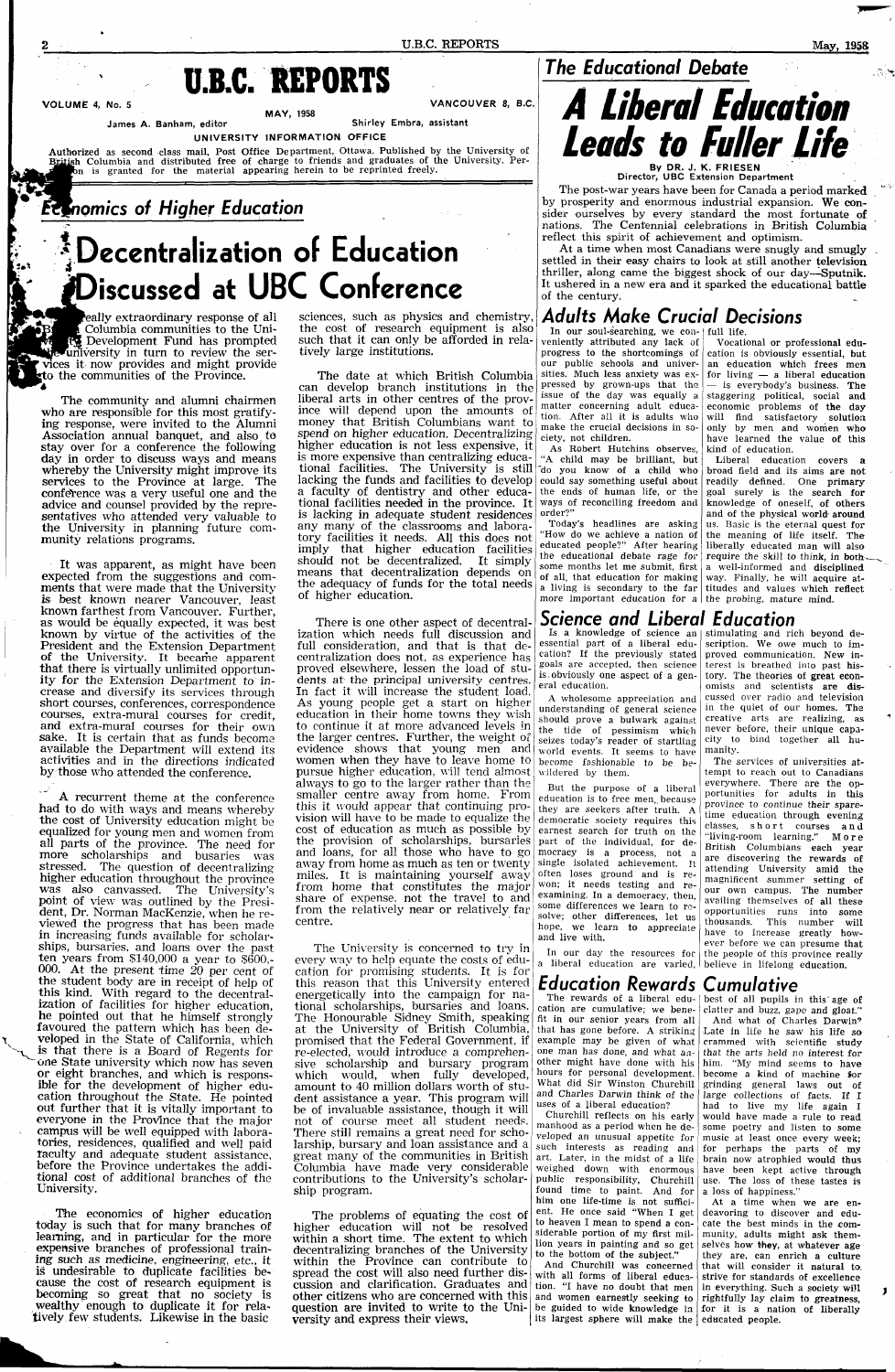## **U.B.C. REPORTS**

**VOLUME** 4, No. 5 VANCOUVER 8, **B.C.** 

MAY, 1958

James A. Banham, editor Shirley Embra, assistant

UNIVERSITY INFORMATION OFFICE

Authorized as second class mail, Post Office Department, Ottawa. Published by the University of British Columbia and distributed free of charge to friends and graduates of the University. Perbn is granted for the material appearing herein to be reprinted freely.

### **Economics of Higher Education**

eally extraordinary response of all Columbia communities to the Uni- **E** Development Fund has prompted ^university in turn to review the ser vices it now provides and might provide to the communities of the Province.

### **The Educational Debate**

# **^Decentralization of Education iscussed at UBC Conference**

The community and alumni chairmen who are responsible for this most gratifying response, were invited to the Alumni Association annual banquet, and also, to stay over for a conference the following day in order to discuss ways and means whereby the University might improve its services to the Province at large. The conference was a very useful one and the advice and counsel provided by the representatives who attended very valuable to the University in planning future community relations programs.

It was apparent, as might have been expected from the suggestions and comments that were made that the University is best known nearer Vancouver, least known farthest from Vancouver. Further, as would be equally expected, it was best known by virtue of the activities of the President and the Extension Department of the University. It became apparent that there is virtually unlimited opportunity for the Extension Department to increase and diversify its services through short courses, conferences, correspondence courses, extra-mural courses for credit, and extra-mural courses for their own sake. It is certain that as funds become available the Department will extend its activities and in the directions indicated by those who attended the conference.

A recurrent theme at the conference had to do with ways and means whereby the cost of University education might be equalized for young men and women from all parts of the province. The need for more scholarships and busaries was stressed. The question of decentralizing higher education throughout the province was also canvassed. The University's point of view was outlined by the President, Dr. Norman MacKenzie, when he reviewed the progress that has been made in increasing funds available for scholarships, bursaries, and loans over the past ten years from  $$140,000$  a year to  $$600$ . 000. At the present time 20 per cent of the student body are in receipt of help of this kind. With regard to the decentralization of facilities for higher education, he pointed out that he himself strongly favoured the pattern which has been developed in the State of California, which is that there is a Board of Regents for one State university which now has seven or eight branches, and which is responsible for the development of higher education throughout the State. He pointed out further that it is vitally important to everyone in the Province that the major campus will be well equipped with laboratories, residences, qualified and well paid faculty and adequate student assistance, before the Province undertakes the additional cost of additional branches of the University.

The economics of higher education today is such that for many branches of learning, and in particular for the more expensive branches of professional training such as medicine, engineering, etc., it is undesirable to duplicate facilities because the cost of research equipment is becoming so great that no society is wealthy enough to duplicate it for relatively few students. Likewise in the basic

sciences, such as physics and chemistry, the cost of research equipment is also such that it can only be afforded in relatively large institutions.

> As Robert Hutchins observes, "A child may be brilliant, but the ends of human life, or the ways of reconciling freedom and order?

Today's headlines are asking "How do we achieve a nation of educated people?" After hearing the educational debate rage for some months let me submit, first of all, that education for making a living is secondary to the far more important education for a the probing, mature mind.

The date at which British Columbia can develop branch institutions in the liberal arts in other centres of the province will depend upon the amounts of money that British Columbians want to spend on higher education. Decentralizing higher education is not less expensive, it is more expensive than centralizing educational facilities. The University is still  $\frac{1}{100}$  you know of a child who lacking the funds and facilities to develop could say something useful about a faculty of dentistry and other educational facilities needed in the province. It is lacking in adequate student residences any many of the classrooms and laboratory facilities it needs. All this does not imply that higher education facilities should not be decentralized. It simply means that decentralization depends on the adequacy of funds for the total needs of higher education.

progress to the shortcomings of cation is obviously essential, but our public schools and univer- an education which frees men issue of the day was equally a staggering political, social and tion. After all it is adults who will find satisfactory solution Vocational or professional edufor living — a liberal education — is everybody's business. The economic problems of the day only by men and women who have learned the value of this kind of education.

Is a knowledge of science an | stimulating and rich beyond deessential part of a liberal education? If the previously stated goals are accepted, then science is.obviously one aspect of a general education.

There is one other aspect of decentralization which needs full discussion and full consideration, and that is that decentralization does not, as experience has proved elsewhere, lessen the load of students at the principal university centres. In fact it will increase the student load. As young people get a start on higher education in their home towns they wish to continue it at more advanced levels in the larger centres. Further, the weight of evidence shows that young men and women when they have to leave home to pursue higher education, will tend almost always to go to the larger rather than the smaller centre away from home. From this it would appear that continuing provision will have to be made to equalize the cost of education as much as possible by the provision of scholarships, bursaries part of the individual, for deand loans, for all those who have to go mocracy is a process, not a away from home as much as ten or twenty miles. It is maintaining yourself away from home that constitutes the major share of expense, not the travel to and from the relatively near or relatively far centre.

> The rewards of a liberal edu The rewards of a liberal edu- best of all pupils in this age of cation are cumulative; we bene- clatter and buzz, gape and gloat." fit in our senior years from all <br>
> And what of Charles Darwin? that has gone before. A striking Late in life he saw his life so

The University is concerned to try in every way to help equate the costs of education for promising students. It is for this reason that this University entered energetically into the campaign for national scholarships, bursaries and loans. The Honourable Sidney Smith, speaking at the University of British Columbia, promised that the Federal Government, if re-elected, would introduce a comprehensive scholarship and bursary program which would, when fully developed, amount to 40 million dollars worth of student assistance a year. This program will be of invaluable assistance, though it will not of course meet all student needs. There still remains a great need for scholarship, bursary and loan assistance and a great many of the communities in British Columbia have made very considerable contributions to the University's scholarship program.

example may be given of what crammed with scientific study that the arts held no interest for him. "My mind seems to have become a kind of machine for grinding general laws out of large collections of facts. If I had to live my life again I would have made a rule to read some poetry and listen to some music at least once every week; for perhaps the parts of my brain now atrophied would thus have been kept active through use. The loss of these tastes is a loss of happiness."

The problems of equating the cost of higher education will not be resolved within a short time. The extent to which decentralizing branches of the University within the Province can contribute to spread the cost will also need further discussion and clarification. Graduates and other citizens who are concerned with this question are invited to write to the University and express their views.



Director, UBC Extension Department

The post-war years have been for Canada a period marked by prosperity and enormous industrial expansion. We consider ourselves by every standard the most fortunate of nations. The Centennial celebrations in British Columbia reflect this spirit of achievement and optimism.

At a time when most Canadians were snugly and smugly settled in their easy chairs to look at still another television thriller, along came the biggest shock of our day—Sputnik. It ushered in a new era and it sparked the educational battle of the century.

#### **Adults Make Crucial Decisions**

In our soul-searching, we con-full life. veniently attributed any lack of sities. Much less anxiety was expressed by grown-ups that the matter concerning adult educamake the crucial decisions in society, not children.

> Liberal education covers a broad field and its aims are not readily defined. One primary goal surely is the search for knowledge of oneself, of others and of the physical world- around us. Basic is the eternal quest for the meaning of life itself. The liberally educated man will also require the skill to think, in both-, a well-informed and disciplined way. Finally, he will acquire attitudes and values which reflect

#### **Science and Liberal Education**

A wholesome appreciation and understanding of general science should prove a bulwark against the tide of pessimism which seizes today's reader of startling world events. It seems to have become fashionable to be bewildered by them.

But the purpose of a liberal education is to free men,, because they are seekers after truth. A democratic society requires this earnest search for truth on the single isolated achievement. It often loses ground and is rewon; it needs testing and reexamining. In a democracy, then, some differences we learn to resolve; other differences, let us hope, we learn to appreciate and live with.

In our day the resources for the people of this province really a liberal education are varied, believe in lifelong education.

scription. We owe much to improved communication. New interest is breathed into past history. The theories of great economists and scientists are discussed over radio and television in the quiet of our homes. The creative arts are realizing, as never before, their unique capacity to bind together all hu-

manity.

The services of universities attempt to reach out to Canadians everywhere. There are the opportunities for adults in this province to continue their sparetime education through evening classes, short courses and "living-room learning." Mor e British Columbians each year are discovering the rewards of attending University amid the magnificent summer setting of our own campus. The number availing themselves of all these opportunities runs into some thousands. This number will have to increase greatly however before we can presume that

#### **Education Rewards Cumulative**

one man has done, and what another might have done with his hours for personal development. What did Sir Winston Churchill and Charles Darwin think of the uses of a liberal education?

clatter and buzz, gape and gloat."

Churchill reflects on his early manhood as a period when he developed an unusual appetite for such interests as reading and art. Later, in the midst of a life weighed down with enormous public responsibility, Churchill found time to paint. And for him one life-time is not sufficient. He once said "When I get to heaven I mean to spend a considerable portion of my first million years in painting and so get to the bottom of the subject." And Churchill was concerned with all forms of liberal education. "I have no doubt that men and women earnestly seeking to be guided to wide knowledge in for it is a nation of liberally its largest sphere will make the educated people.

At a time when we are endeavoring to discover and educate the best minds in the community, adults might ask themselves how they, at whatever age they are, can enrich a culture that will consider it natural to. strive for standards of excellence in everything. Such a society will rightfully lay claim to greatness,